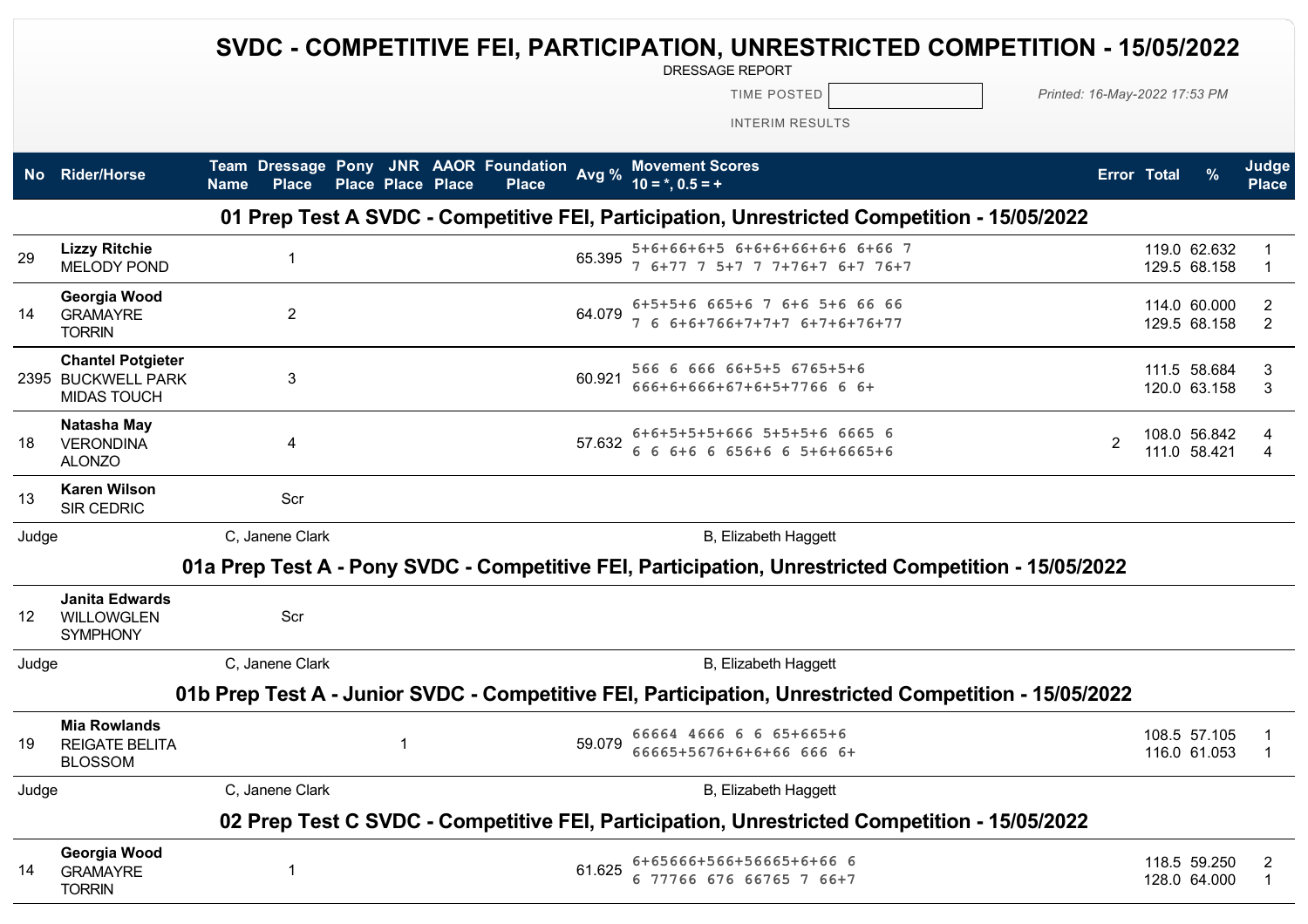|       |                                                                      |                                                                       |                          | SVDC - COMPETITIVE FEI, PARTICIPATION, UNRESTRICTED COMPETITION - 15/05/2022<br>DRESSAGE REPORT       |                               |                    |                              |                       |
|-------|----------------------------------------------------------------------|-----------------------------------------------------------------------|--------------------------|-------------------------------------------------------------------------------------------------------|-------------------------------|--------------------|------------------------------|-----------------------|
|       |                                                                      |                                                                       |                          | <b>TIME POSTED</b>                                                                                    | Printed: 16-May-2022 17:53 PM |                    |                              |                       |
|       |                                                                      |                                                                       |                          | <b>INTERIM RESULTS</b>                                                                                |                               |                    |                              |                       |
|       | No Rider/Horse                                                       | Team Dressage Pony JNR AAOR Foundation<br><b>Place</b><br><b>Name</b> | <b>Place Place Place</b> | <b>Movement Scores</b><br>Avg % $\frac{\text{Woyen}}{10}$ = *, 0.5 = +<br><b>Place</b>                |                               | <b>Error Total</b> | $\%$                         | Judge<br><b>Place</b> |
|       |                                                                      |                                                                       |                          | 01 Prep Test A SVDC - Competitive FEI, Participation, Unrestricted Competition - 15/05/2022           |                               |                    |                              |                       |
| 29    | <b>Lizzy Ritchie</b><br><b>MELODY POND</b>                           | 1                                                                     |                          | 5+6+66+6+5 6+6+6+66+6+6 6+66 7<br>65.395<br>7 6+77 7 5+7 7 7+76+7 6+7 76+7                            |                               |                    | 119.0 62.632<br>129.5 68.158 |                       |
| 14    | Georgia Wood<br><b>GRAMAYRE</b><br><b>TORRIN</b>                     | $\overline{2}$                                                        |                          | 6+5+5+6 665+6 7 6+6 5+6 66 66<br>64.079<br>7 6 6+6+766+7+7+7 6+7+6+76+77                              |                               |                    | 114.0 60.000<br>129.5 68.158 | 2<br>2                |
|       | <b>Chantel Potgieter</b><br>2395 BUCKWELL PARK<br><b>MIDAS TOUCH</b> | 3                                                                     |                          | 566 6 666 66+5+5 6765+5+6<br>60.921<br>666+6+666+67+6+5+7766 6 6+                                     |                               |                    | 111.5 58.684<br>120.0 63.158 | 3<br>3                |
| 18    | Natasha May<br><b>VERONDINA</b><br><b>ALONZO</b>                     | 4                                                                     |                          | 6+6+5+5+5+666 5+5+5+6 6665 6<br>57.632<br>6 6 6+6 6 656+6 6 5+6+6665+6                                | $\mathcal{P}$                 |                    | 108.0 56.842<br>111.0 58.421 | 4                     |
| 13    | <b>Karen Wilson</b><br><b>SIR CEDRIC</b>                             | Scr                                                                   |                          |                                                                                                       |                               |                    |                              |                       |
| Judge |                                                                      | C, Janene Clark                                                       |                          | B, Elizabeth Haggett                                                                                  |                               |                    |                              |                       |
|       |                                                                      |                                                                       |                          | 01a Prep Test A - Pony SVDC - Competitive FEI, Participation, Unrestricted Competition - 15/05/2022   |                               |                    |                              |                       |
| 12    | Janita Edwards<br><b>WILLOWGLEN</b><br><b>SYMPHONY</b>               | Scr                                                                   |                          |                                                                                                       |                               |                    |                              |                       |
| Judge |                                                                      | C, Janene Clark                                                       |                          | B, Elizabeth Haggett                                                                                  |                               |                    |                              |                       |
|       |                                                                      |                                                                       |                          | 01b Prep Test A - Junior SVDC - Competitive FEI, Participation, Unrestricted Competition - 15/05/2022 |                               |                    |                              |                       |
| 19    | <b>Mia Rowlands</b><br><b>REIGATE BELITA</b><br><b>BLOSSOM</b>       |                                                                       |                          | 66664 4666 6 6 65+665+6<br>59.079<br>66665+5676+6+6+66 666 6+                                         |                               |                    | 108.5 57.105<br>116.0 61.053 |                       |
| Judge |                                                                      | C, Janene Clark                                                       |                          | B, Elizabeth Haggett                                                                                  |                               |                    |                              |                       |
|       |                                                                      |                                                                       |                          | 02 Prep Test C SVDC - Competitive FEI, Participation, Unrestricted Competition - 15/05/2022           |                               |                    |                              |                       |
| 14    | Georgia Wood<br><b>GRAMAYRE</b><br><b>TORRIN</b>                     | 1                                                                     |                          | 6+65666+566+56665+6+66<br>6 77766 676 66765 7 66+7<br>61.625                                          |                               |                    | 118.5 59.250<br>128.0 64.000 | $\overline{2}$        |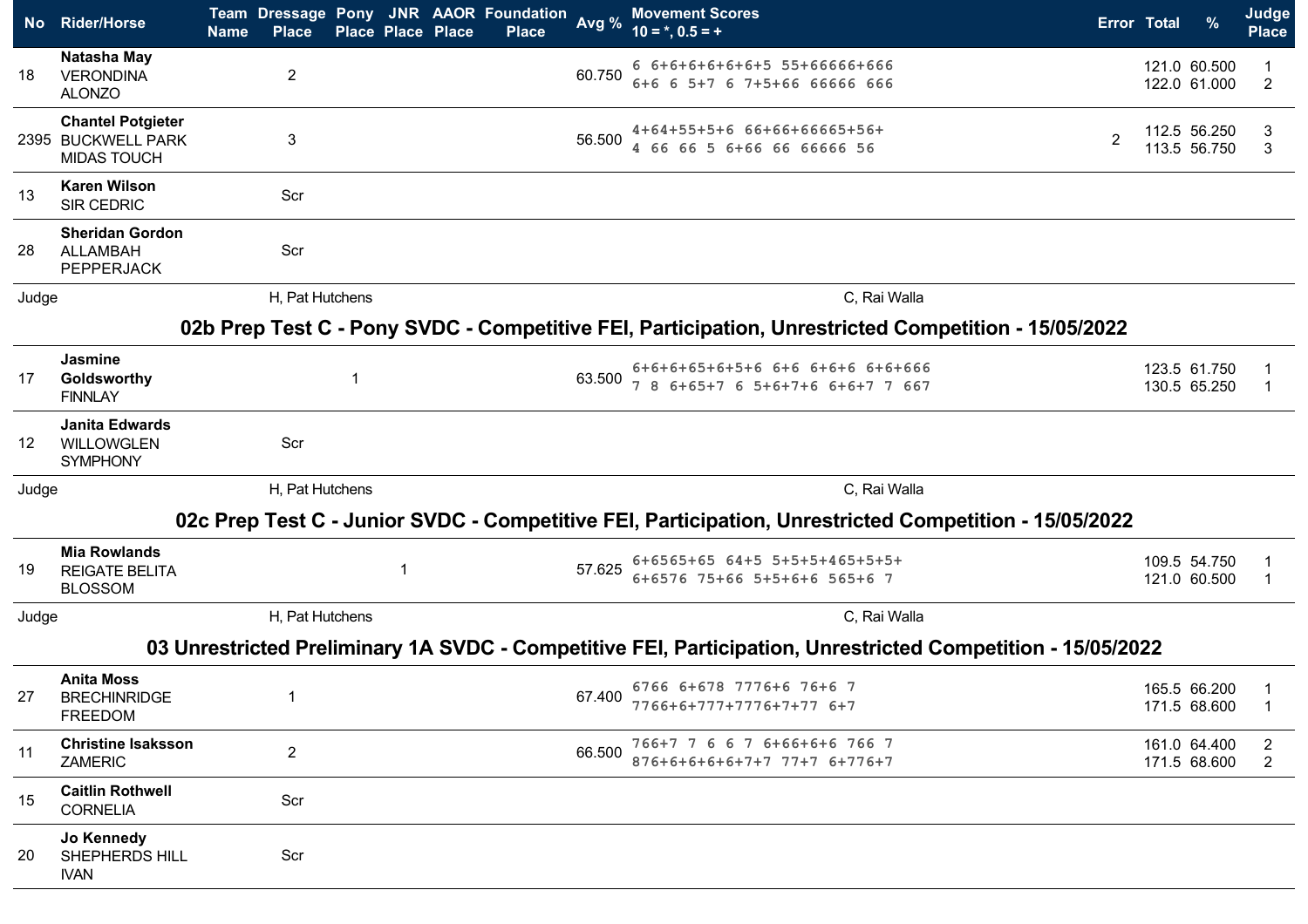|       | No Rider/Horse                                                       | <b>Name</b> | <b>Place</b>    |   |    | <b>Place Place Place</b> | Team Dressage Pony JNR AAOR Foundation Avg %<br><b>Place</b> |        | <b>Movement Scores</b><br>$10 = *, 0.5 = +$                                                                 |                | <b>Error Total</b> | %                            | Judge<br><b>Place</b>            |
|-------|----------------------------------------------------------------------|-------------|-----------------|---|----|--------------------------|--------------------------------------------------------------|--------|-------------------------------------------------------------------------------------------------------------|----------------|--------------------|------------------------------|----------------------------------|
| 18    | Natasha May<br><b>VERONDINA</b><br><b>ALONZO</b>                     |             | $\overline{c}$  |   |    |                          |                                                              | 60.750 | 6 6+6+6+6+6+6+5 55+66666+666<br>6+6 6 5+7 6 7+5+66 66666 666                                                |                |                    | 121.0 60.500<br>122.0 61.000 | 2                                |
|       | <b>Chantel Potgieter</b><br>2395 BUCKWELL PARK<br><b>MIDAS TOUCH</b> |             | 3               |   |    |                          |                                                              | 56.500 | 4+64+55+5+6 66+66+66665+56+<br>4 66 66 5 6+66 66 66666 56                                                   | $\overline{2}$ |                    | 112.5 56.250<br>113.5 56.750 | 3                                |
| 13    | <b>Karen Wilson</b><br>SIR CEDRIC                                    |             | Scr             |   |    |                          |                                                              |        |                                                                                                             |                |                    |                              |                                  |
| 28    | <b>Sheridan Gordon</b><br>ALLAMBAH<br><b>PEPPERJACK</b>              |             | Scr             |   |    |                          |                                                              |        |                                                                                                             |                |                    |                              |                                  |
| Judge |                                                                      |             | H, Pat Hutchens |   |    |                          |                                                              |        | C, Rai Walla                                                                                                |                |                    |                              |                                  |
|       |                                                                      |             |                 |   |    |                          |                                                              |        | 02b Prep Test C - Pony SVDC - Competitive FEI, Participation, Unrestricted Competition - 15/05/2022         |                |                    |                              |                                  |
| 17    | Jasmine<br>Goldsworthy<br><b>FINNLAY</b>                             |             |                 | 1 |    |                          |                                                              | 63.500 | 6+6+6+65+6+5+6 6+6 6+6+6 6+6+666<br>7 8 6+65+7 6 5+6+7+6 6+6+7 7 667                                        |                |                    | 123.5 61.750<br>130.5 65.250 |                                  |
| 12    | <b>Janita Edwards</b><br><b>WILLOWGLEN</b><br><b>SYMPHONY</b>        |             | Scr             |   |    |                          |                                                              |        |                                                                                                             |                |                    |                              |                                  |
| Judge |                                                                      |             | H, Pat Hutchens |   |    |                          |                                                              |        | C, Rai Walla                                                                                                |                |                    |                              |                                  |
|       |                                                                      |             |                 |   |    |                          |                                                              |        | 02c Prep Test C - Junior SVDC - Competitive FEI, Participation, Unrestricted Competition - 15/05/2022       |                |                    |                              |                                  |
| 19    | <b>Mia Rowlands</b><br><b>REIGATE BELITA</b><br><b>BLOSSOM</b>       |             |                 |   | -1 |                          |                                                              | 57.625 | 6+6565+65 64+5 5+5+5+465+5+5+<br>6+6576 75+66 5+5+6+6 565+6 7                                               |                |                    | 109.5 54.750<br>121.0 60.500 |                                  |
| Judge |                                                                      |             | H, Pat Hutchens |   |    |                          |                                                              |        | C, Rai Walla                                                                                                |                |                    |                              |                                  |
|       |                                                                      |             |                 |   |    |                          |                                                              |        | 03 Unrestricted Preliminary 1A SVDC - Competitive FEI, Participation, Unrestricted Competition - 15/05/2022 |                |                    |                              |                                  |
| 27    | <b>Anita Moss</b><br><b>BRECHINRIDGE</b><br><b>FREEDOM</b>           |             | $\mathbf{1}$    |   |    |                          |                                                              |        | $67.400$ $6766$ $6+678$ $7776+6$ $76+6$ 7<br>7766+6+777+7776+7+77 6+7                                       |                |                    | 165.5 66.200<br>171.5 68.600 | $\overline{1}$                   |
| 11    | <b>Christine Isaksson</b><br><b>ZAMERIC</b>                          |             | $\overline{2}$  |   |    |                          |                                                              | 66.500 | 766+7 7 6 6 7 6+66+6+6 766 7<br>876+6+6+6+6+7+7 77+7 6+776+7                                                |                |                    | 161.0 64.400<br>171.5 68.600 | $\overline{2}$<br>$\overline{2}$ |
| 15    | <b>Caitlin Rothwell</b><br><b>CORNELIA</b>                           |             | Scr             |   |    |                          |                                                              |        |                                                                                                             |                |                    |                              |                                  |
| 20    | Jo Kennedy<br>SHEPHERDS HILL<br><b>IVAN</b>                          |             | Scr             |   |    |                          |                                                              |        |                                                                                                             |                |                    |                              |                                  |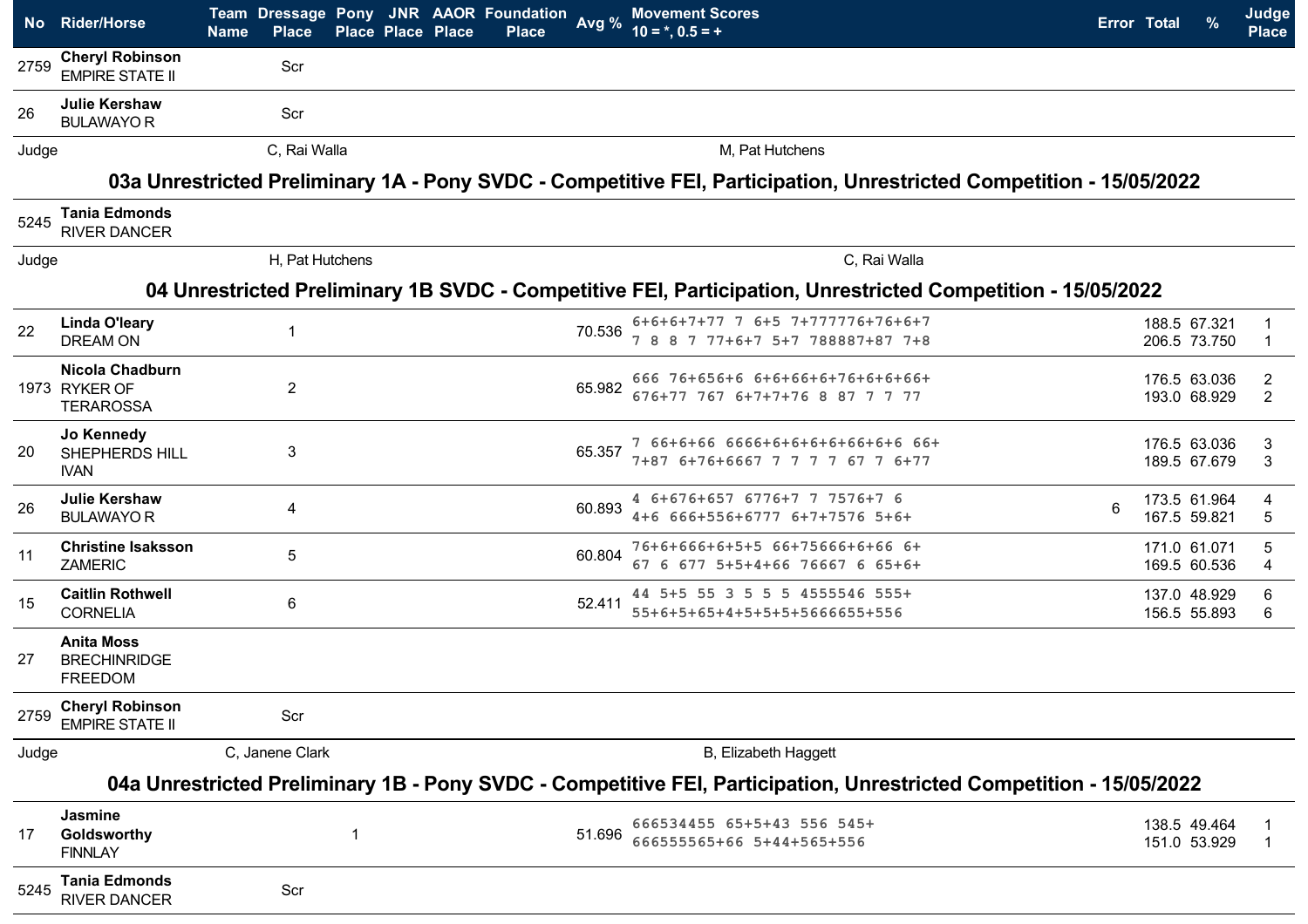|       | No Rider/Horse                                             | Team Dressage Pony JNR AAOR Foundation <sub>Avg %」</sub><br><b>Place Place Place</b><br><b>Place</b><br><b>Name</b> | <b>Movement Scores</b><br>$10 = 10.5 = +$<br><b>Place</b>                                                           | Judge<br><b>Error Total</b><br>$\%$<br><b>Place</b> |
|-------|------------------------------------------------------------|---------------------------------------------------------------------------------------------------------------------|---------------------------------------------------------------------------------------------------------------------|-----------------------------------------------------|
| 2759  | <b>Cheryl Robinson</b><br><b>EMPIRE STATE II</b>           | Scr                                                                                                                 |                                                                                                                     |                                                     |
| 26    | <b>Julie Kershaw</b><br><b>BULAWAYOR</b>                   | Scr                                                                                                                 |                                                                                                                     |                                                     |
| Judge |                                                            | C, Rai Walla                                                                                                        | M, Pat Hutchens                                                                                                     |                                                     |
|       |                                                            |                                                                                                                     | 03a Unrestricted Preliminary 1A - Pony SVDC - Competitive FEI, Participation, Unrestricted Competition - 15/05/2022 |                                                     |
| 5245  | <b>Tania Edmonds</b><br><b>RIVER DANCER</b>                |                                                                                                                     |                                                                                                                     |                                                     |
| Judge |                                                            | H, Pat Hutchens                                                                                                     | C, Rai Walla                                                                                                        |                                                     |
|       |                                                            |                                                                                                                     | 04 Unrestricted Preliminary 1B SVDC - Competitive FEI, Participation, Unrestricted Competition - 15/05/2022         |                                                     |
| 22    | <b>Linda O'leary</b><br><b>DREAM ON</b>                    | -1                                                                                                                  | 6+6+6+7+77 7 6+5 7+777776+76+6+7<br>70.536<br>7 8 8 7 77+6+7 5+7 788887+87 7+8                                      | 188.5 67.321<br>206.5 73.750                        |
|       | Nicola Chadburn<br>1973 RYKER OF<br><b>TERAROSSA</b>       | $\overline{2}$                                                                                                      | 666 76+656+6 6+6+66+6+76+6+6+66+<br>65.982<br>676+77 767 6+7+7+76 8 87 7 7 77                                       | 176.5 63.036<br>2<br>193.0 68.929<br>$\overline{2}$ |
| 20    | Jo Kennedy<br><b>SHEPHERDS HILL</b><br><b>IVAN</b>         | 3                                                                                                                   | 7 66+6+66 6666+6+6+6+6+66+6+6 66+<br>65.357<br>7+87 6+76+6667 7 7 7 7 67 7 6+77                                     | 176.5 63.036<br>3<br>189.5 67.679<br>3              |
| 26    | <b>Julie Kershaw</b><br><b>BULAWAYOR</b>                   | 4                                                                                                                   | 4 6+676+657 6776+7 7 7576+7 6<br>60.893<br>4+6 666+556+6777 6+7+7576 5+6+                                           | 173.5 61.964<br>4<br>6<br>167.5 59.821<br>5         |
| 11    | <b>Christine Isaksson</b><br><b>ZAMERIC</b>                | $\overline{5}$                                                                                                      | 76+6+666+6+5+5 66+75666+6+66 6+<br>60.804<br>67 6 677 5+5+4+66 76667 6 65+6+                                        | 171.0 61.071<br>5<br>169.5 60.536<br>4              |
| 15    | <b>Caitlin Rothwell</b><br><b>CORNELIA</b>                 | 6                                                                                                                   | 44 5+5 55 3 5 5 5 4555546 555+<br>52.411<br>55+6+5+65+4+5+5+5+5666655+556                                           | 137.0 48.929<br>6<br>156.5 55.893<br>6              |
| 27    | <b>Anita Moss</b><br><b>BRECHINRIDGE</b><br><b>FREEDOM</b> |                                                                                                                     |                                                                                                                     |                                                     |
| 2759  | <b>Cheryl Robinson</b><br><b>EMPIRE STATE II</b>           | Scr                                                                                                                 |                                                                                                                     |                                                     |
| Judge |                                                            | C, Janene Clark                                                                                                     | B, Elizabeth Haggett                                                                                                |                                                     |
|       |                                                            |                                                                                                                     | 04a Unrestricted Preliminary 1B - Pony SVDC - Competitive FEI, Participation, Unrestricted Competition - 15/05/2022 |                                                     |
| 17    | Jasmine<br>Goldsworthy<br><b>FINNLAY</b>                   |                                                                                                                     | 666534455 65+5+43 556 545+<br>51.696<br>666555565+66 5+44+565+556                                                   | 138.5 49.464<br>151.0 53.929                        |
| 5245  | <b>Tania Edmonds</b><br><b>RIVER DANCER</b>                | Scr                                                                                                                 |                                                                                                                     |                                                     |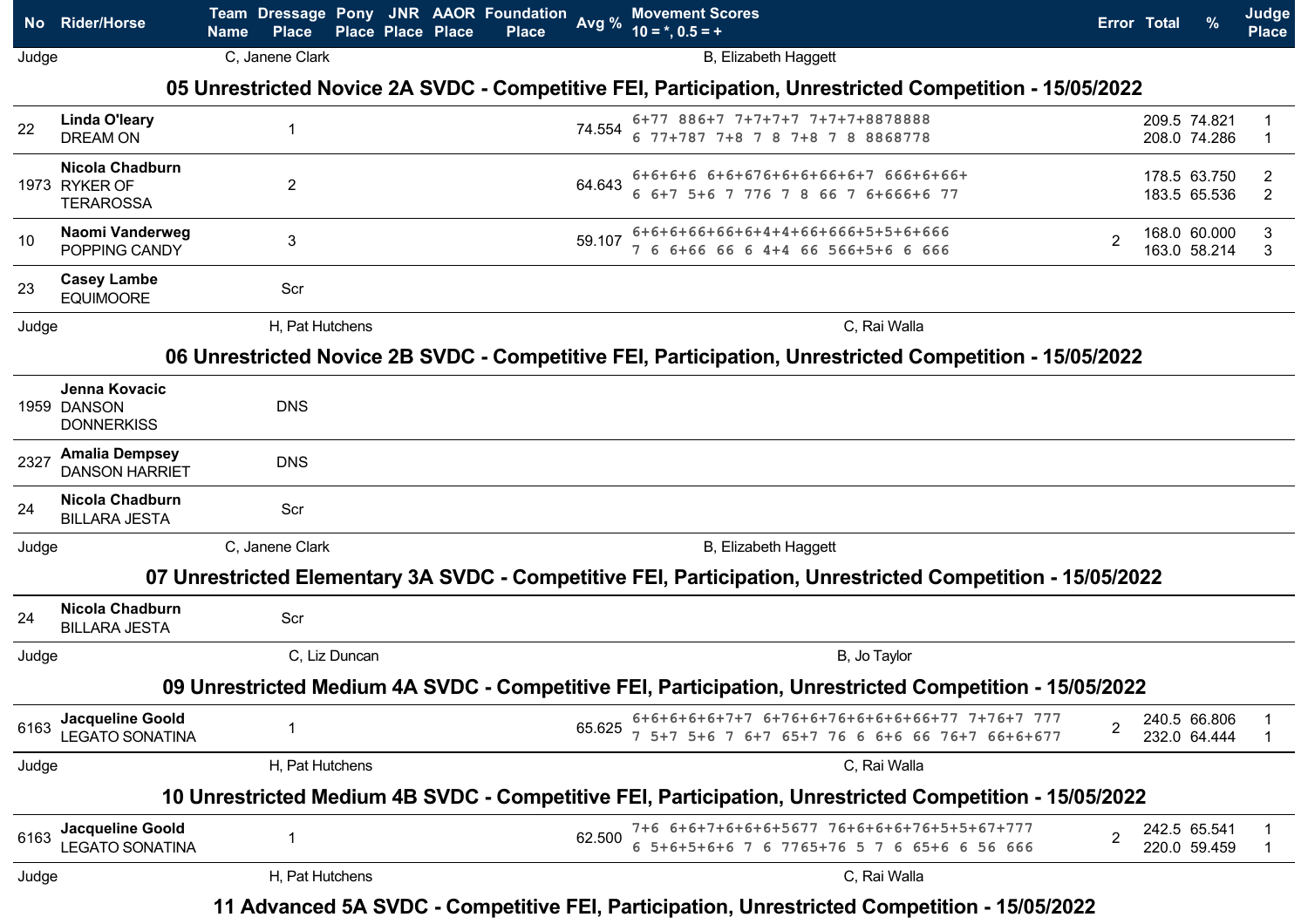|       | No Rider/Horse                                              | Team Dressage Pony JNR AAOR Foundation $Avg\%$ Movement Sc.<br>Place Place Place Place Avg $\%$ 10 = $*$ , 0.5 = + |  |        | <b>Movement Scores</b>                                                                                     |                | <b>Error Total</b> |                              | Judge<br><b>Place</b> |
|-------|-------------------------------------------------------------|--------------------------------------------------------------------------------------------------------------------|--|--------|------------------------------------------------------------------------------------------------------------|----------------|--------------------|------------------------------|-----------------------|
| Judge |                                                             | C, Janene Clark                                                                                                    |  |        | B, Elizabeth Haggett                                                                                       |                |                    |                              |                       |
|       |                                                             |                                                                                                                    |  |        | 05 Unrestricted Novice 2A SVDC - Competitive FEI, Participation, Unrestricted Competition - 15/05/2022     |                |                    |                              |                       |
| 22    | <b>Linda O'leary</b>                                        | 1                                                                                                                  |  | 74.554 | 6+77 886+7 7+7+7+7 7+7+7+8878888<br>6 77+787 7+8 7 8 7+8 7 8 8868778                                       |                |                    | 209.5 74.821                 |                       |
|       | <b>DREAM ON</b>                                             |                                                                                                                    |  |        |                                                                                                            |                |                    | 208.0 74.286                 |                       |
|       | <b>Nicola Chadburn</b><br>1973 RYKER OF<br><b>TERAROSSA</b> | 2                                                                                                                  |  | 64.643 | 6+6+6+6 6+6+676+6+6+66+6+7 666+6+66+<br>6 6+7 5+6 7 776 7 8 66 7 6+666+6 77                                |                |                    | 178.5 63.750<br>183.5 65.536 | 2<br>2                |
| 10    | Naomi Vanderweg<br>POPPING CANDY                            | 3                                                                                                                  |  | 59.107 | 6+6+6+66+66+6+4+4+66+666+5+5+6+666<br>7 6 6+66 66 6 4+4 66 566+5+6 6 666                                   | $\overline{2}$ |                    | 168.0 60.000<br>163.0 58.214 | 3<br>3                |
| 23    | <b>Casey Lambe</b><br><b>EQUIMOORE</b>                      | Scr                                                                                                                |  |        |                                                                                                            |                |                    |                              |                       |
| Judge |                                                             | H, Pat Hutchens                                                                                                    |  |        | C, Rai Walla                                                                                               |                |                    |                              |                       |
|       |                                                             |                                                                                                                    |  |        | 06 Unrestricted Novice 2B SVDC - Competitive FEI, Participation, Unrestricted Competition - 15/05/2022     |                |                    |                              |                       |
|       | Jenna Kovacic<br>1959 DANSON<br><b>DONNERKISS</b>           | <b>DNS</b>                                                                                                         |  |        |                                                                                                            |                |                    |                              |                       |
| 2327  | <b>Amalia Dempsey</b><br><b>DANSON HARRIET</b>              | <b>DNS</b>                                                                                                         |  |        |                                                                                                            |                |                    |                              |                       |
| 24    | <b>Nicola Chadburn</b><br><b>BILLARA JESTA</b>              | Scr                                                                                                                |  |        |                                                                                                            |                |                    |                              |                       |
| Judge |                                                             | C, Janene Clark                                                                                                    |  |        | B, Elizabeth Haggett                                                                                       |                |                    |                              |                       |
|       |                                                             |                                                                                                                    |  |        | 07 Unrestricted Elementary 3A SVDC - Competitive FEI, Participation, Unrestricted Competition - 15/05/2022 |                |                    |                              |                       |
| 24    | <b>Nicola Chadburn</b><br><b>BILLARA JESTA</b>              | Scr                                                                                                                |  |        |                                                                                                            |                |                    |                              |                       |
| Judge |                                                             | C, Liz Duncan                                                                                                      |  |        | B, Jo Taylor                                                                                               |                |                    |                              |                       |
|       |                                                             |                                                                                                                    |  |        | 09 Unrestricted Medium 4A SVDC - Competitive FEI, Participation, Unrestricted Competition - 15/05/2022     |                |                    |                              |                       |
| 6163  | <b>Jacqueline Goold</b><br><b>LEGATO SONATINA</b>           |                                                                                                                    |  | 65.625 | 6+6+6+6+6+7+7 6+76+6+76+6+6+6+66+77 7+76+7 777<br>7 5+7 5+6 7 6+7 65+7 76 6 6+6 66 76+7 66+6+677           |                |                    | 240.5 66.806<br>232.0 64.444 |                       |
| Judge |                                                             | H, Pat Hutchens                                                                                                    |  |        | C, Rai Walla                                                                                               |                |                    |                              |                       |
|       |                                                             |                                                                                                                    |  |        | 10 Unrestricted Medium 4B SVDC - Competitive FEI, Participation, Unrestricted Competition - 15/05/2022     |                |                    |                              |                       |
| 6163  | <b>Jacqueline Goold</b><br><b>LEGATO SONATINA</b>           |                                                                                                                    |  | 62.500 | 7+6 6+6+7+6+6+6+5677 76+6+6+6+76+5+5+67+777<br>6 5+6+5+6+6 7 6 7765+76 5 7 6 65+6 6 56 666                 |                |                    | 242.5 65.541<br>220.0 59.459 |                       |
| Judge |                                                             | H, Pat Hutchens                                                                                                    |  |        | C, Rai Walla                                                                                               |                |                    |                              |                       |
|       |                                                             |                                                                                                                    |  |        | FIRAAC                                                                                                     |                |                    |                              |                       |

**11 Advanced 5A SVDC - Competitive FEI, Participation, Unrestricted Competition - 15/05/2022**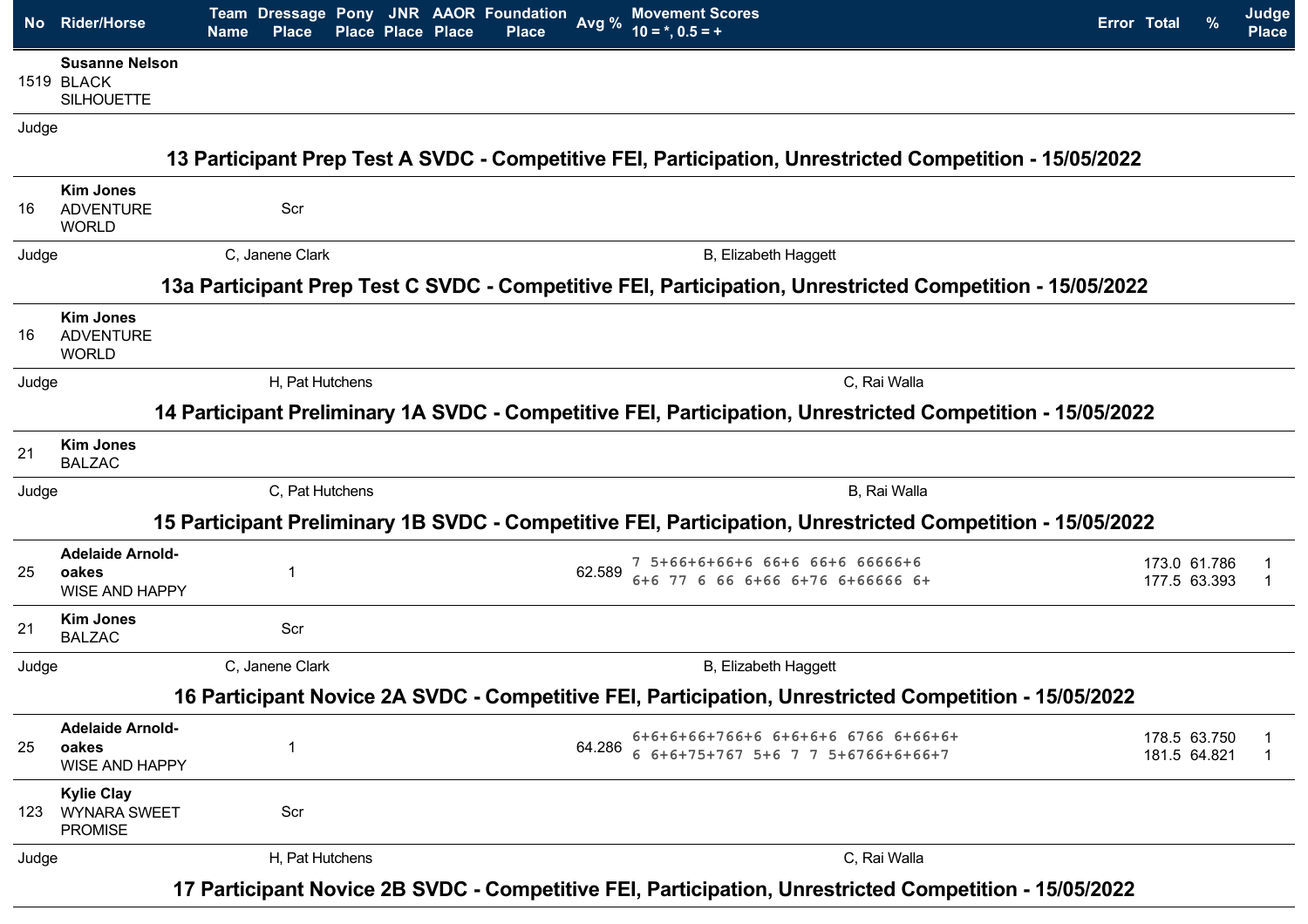|       | No Rider/Horse                                             | Team Dressage Pony JNR AAOR Foundation Avg %<br><b>Place Place Place</b><br><b>Place</b><br><b>Name</b> | <b>Movement Scores</b><br>$10 = *, 0.5 = +$<br><b>Place</b>                                                | Judge<br>%<br><b>Error Total</b><br><b>Place</b> |
|-------|------------------------------------------------------------|---------------------------------------------------------------------------------------------------------|------------------------------------------------------------------------------------------------------------|--------------------------------------------------|
|       | <b>Susanne Nelson</b><br>1519 BLACK<br><b>SILHOUETTE</b>   |                                                                                                         |                                                                                                            |                                                  |
| Judge |                                                            |                                                                                                         |                                                                                                            |                                                  |
|       |                                                            |                                                                                                         | 13 Participant Prep Test A SVDC - Competitive FEI, Participation, Unrestricted Competition - 15/05/2022    |                                                  |
| 16    | <b>Kim Jones</b><br><b>ADVENTURE</b><br><b>WORLD</b>       | Scr                                                                                                     |                                                                                                            |                                                  |
| Judge |                                                            | C, Janene Clark                                                                                         | B, Elizabeth Haggett                                                                                       |                                                  |
|       |                                                            |                                                                                                         | 13a Participant Prep Test C SVDC - Competitive FEI, Participation, Unrestricted Competition - 15/05/2022   |                                                  |
| 16    | <b>Kim Jones</b><br><b>ADVENTURE</b><br><b>WORLD</b>       |                                                                                                         |                                                                                                            |                                                  |
| Judge |                                                            | H, Pat Hutchens                                                                                         | C, Rai Walla                                                                                               |                                                  |
|       |                                                            |                                                                                                         | 14 Participant Preliminary 1A SVDC - Competitive FEI, Participation, Unrestricted Competition - 15/05/2022 |                                                  |
| 21    | <b>Kim Jones</b><br><b>BALZAC</b>                          |                                                                                                         |                                                                                                            |                                                  |
| Judge |                                                            | C, Pat Hutchens                                                                                         | B, Rai Walla                                                                                               |                                                  |
|       |                                                            |                                                                                                         | 15 Participant Preliminary 1B SVDC - Competitive FEI, Participation, Unrestricted Competition - 15/05/2022 |                                                  |
| 25    | <b>Adelaide Arnold-</b><br>oakes<br><b>WISE AND HAPPY</b>  |                                                                                                         | 62.589                                                                                                     | 173.0 61.786<br>177.5 63.393                     |
| 21    | <b>Kim Jones</b><br><b>BALZAC</b>                          | Scr                                                                                                     |                                                                                                            |                                                  |
| Judge |                                                            | C, Janene Clark                                                                                         | B, Elizabeth Haggett                                                                                       |                                                  |
|       |                                                            |                                                                                                         | 16 Participant Novice 2A SVDC - Competitive FEI, Participation, Unrestricted Competition - 15/05/2022      |                                                  |
| 25    | <b>Adelaide Arnold-</b><br>oakes<br><b>WISE AND HAPPY</b>  | 1                                                                                                       | 6+6+6+66+766+6 6+6+6+6 6766 6+66+6+<br>6 6+6+75+767 5+6 7 7 5+6766+6+66+7<br>64.286                        | 178.5 63.750<br>181.5 64.821                     |
| 123   | <b>Kylie Clay</b><br><b>WYNARA SWEET</b><br><b>PROMISE</b> | Scr                                                                                                     |                                                                                                            |                                                  |
| Judge |                                                            | H, Pat Hutchens                                                                                         | C, Rai Walla                                                                                               |                                                  |
|       |                                                            |                                                                                                         | 17 Participant Novice 2B SVDC - Competitive FEI, Participation, Unrestricted Competition - 15/05/2022      |                                                  |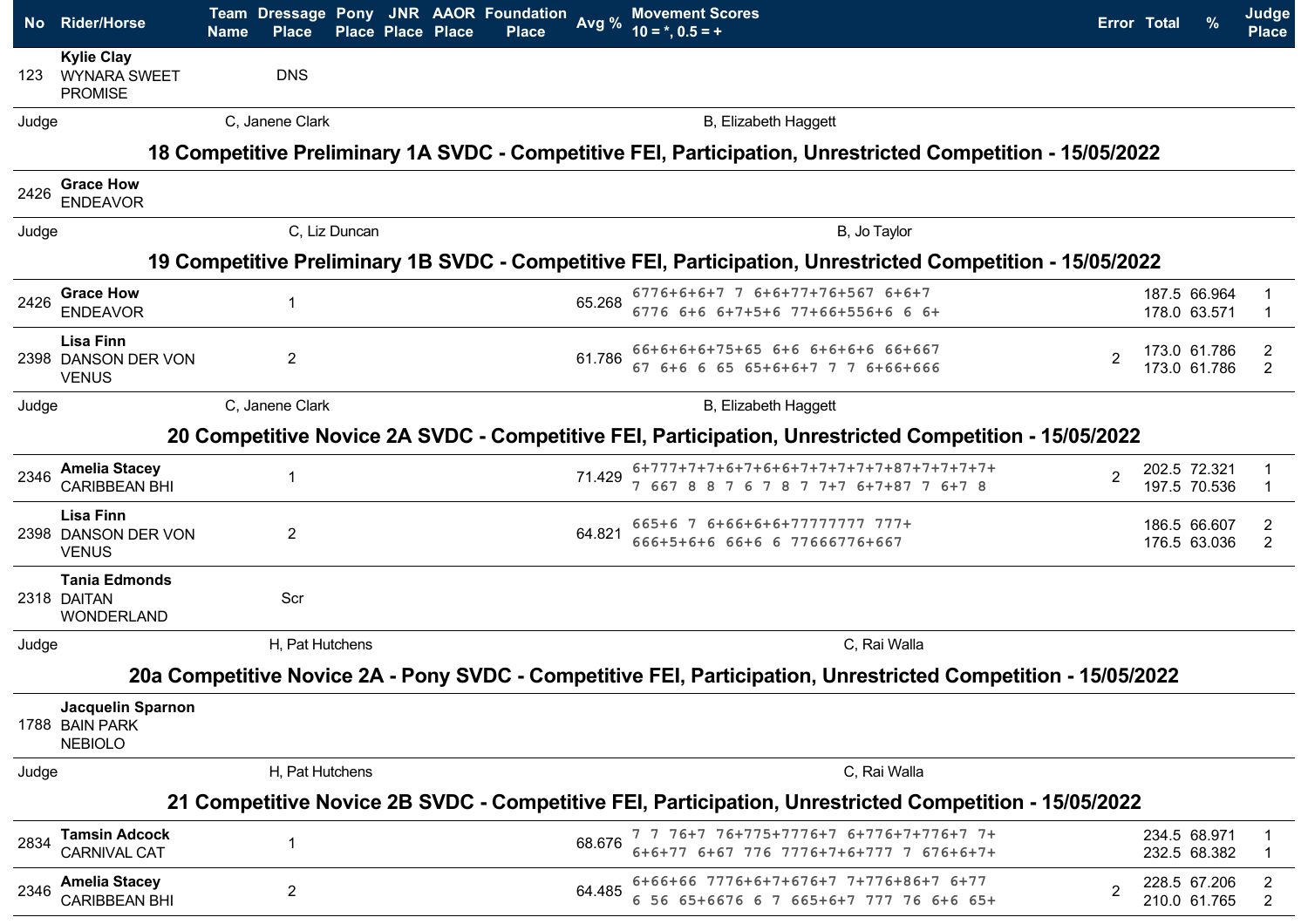|       | No Rider/Horse                                             | Team Dressage Pony JNR AAOR Foundation <sub>Avg %</sub><br>——————————————————————————————————<br><b>Place Place Place</b><br><b>Place</b><br><b>Name</b> | <b>Movement Scores</b><br>$10 = *, 0.5 = +$<br><b>Place</b>                                                    | Judge<br><b>Error Total</b><br><b>Place</b>         |
|-------|------------------------------------------------------------|----------------------------------------------------------------------------------------------------------------------------------------------------------|----------------------------------------------------------------------------------------------------------------|-----------------------------------------------------|
| 123   | <b>Kylie Clay</b><br><b>WYNARA SWEET</b><br><b>PROMISE</b> | <b>DNS</b>                                                                                                                                               |                                                                                                                |                                                     |
| Judge |                                                            | C, Janene Clark                                                                                                                                          | B, Elizabeth Haggett                                                                                           |                                                     |
|       |                                                            |                                                                                                                                                          | 18 Competitive Preliminary 1A SVDC - Competitive FEI, Participation, Unrestricted Competition - 15/05/2022     |                                                     |
| 2426  | <b>Grace How</b><br><b>ENDEAVOR</b>                        |                                                                                                                                                          |                                                                                                                |                                                     |
| Judge |                                                            | C, Liz Duncan                                                                                                                                            | B, Jo Taylor                                                                                                   |                                                     |
|       |                                                            |                                                                                                                                                          | 19 Competitive Preliminary 1B SVDC - Competitive FEI, Participation, Unrestricted Competition - 15/05/2022     |                                                     |
| 2426  | <b>Grace How</b><br><b>ENDEAVOR</b>                        | 1                                                                                                                                                        | 6776+6+6+7 7 6+6+77+76+567 6+6+7<br>65.268<br>6776 6+6 6+7+5+6 77+66+556+6 6 6+                                | 187.5 66.964<br>178.0 63.571                        |
|       | <b>Lisa Finn</b><br>2398 DANSON DER VON<br><b>VENUS</b>    | 2                                                                                                                                                        | 66+6+6+6+75+65 6+6 6+6+6+6 66+667<br>67 6+6 6 65 65+6+6+7 7 7 6+66+666<br>61.786                               | 173.0 61.786<br>2<br>173.0 61.786<br>2              |
| Judge |                                                            | C, Janene Clark                                                                                                                                          | B, Elizabeth Haggett                                                                                           |                                                     |
|       |                                                            |                                                                                                                                                          | 20 Competitive Novice 2A SVDC - Competitive FEI, Participation, Unrestricted Competition - 15/05/2022          |                                                     |
| 2346  | <b>Amelia Stacey</b><br><b>CARIBBEAN BHI</b>               | 1                                                                                                                                                        | 71.429                                                                                                         | 202.5 72.321<br>$\overline{2}$<br>197.5 70.536      |
|       | Lisa Finn<br>2398 DANSON DER VON<br><b>VENUS</b>           | $\overline{c}$                                                                                                                                           | 665+6 7 6+66+6+6+77777777 777+<br>64.821<br>666+5+6+6 66+6 6 77666776+667                                      | 186.5 66.607<br>2<br>176.5 63.036<br>2              |
|       | <b>Tania Edmonds</b><br>2318 DAITAN<br><b>WONDERLAND</b>   | Scr                                                                                                                                                      |                                                                                                                |                                                     |
| Judge |                                                            | H, Pat Hutchens                                                                                                                                          | C, Rai Walla                                                                                                   |                                                     |
|       |                                                            |                                                                                                                                                          | 20 2022/2022 - 20 Competitive Novice 2A - Pony SVDC - Competitive FEI, Participation, Unrestricted Competition |                                                     |
|       | Jacquelin Sparnon<br>1788 BAIN PARK<br><b>NEBIOLO</b>      |                                                                                                                                                          |                                                                                                                |                                                     |
| Judge |                                                            | H, Pat Hutchens                                                                                                                                          | C, Rai Walla                                                                                                   |                                                     |
|       |                                                            |                                                                                                                                                          | 21 Competitive Novice 2B SVDC - Competitive FEI, Participation, Unrestricted Competition - 15/05/2022          |                                                     |
| 2834  | <b>Tamsin Adcock</b><br><b>CARNIVAL CAT</b>                | 1                                                                                                                                                        | 7 7 76+7 76+775+7776+7 6+776+7+776+7 7+<br>68.676<br>6+6+77 6+67 776 7776+7+6+777 7 676+6+7+                   | 234.5 68.971<br>232.5 68.382                        |
| 2346  | <b>Amelia Stacey</b><br><b>CARIBBEAN BHI</b>               | $\overline{\mathbf{c}}$                                                                                                                                  | 6+66+66 7776+6+7+676+7 7+776+86+7 6+77<br>64.485<br>6 56 65+6676 6 7 665+6+7 777 76 6+6 65+                    | 228.5 67.206<br>$\overline{2}$<br>210.0 61.765<br>2 |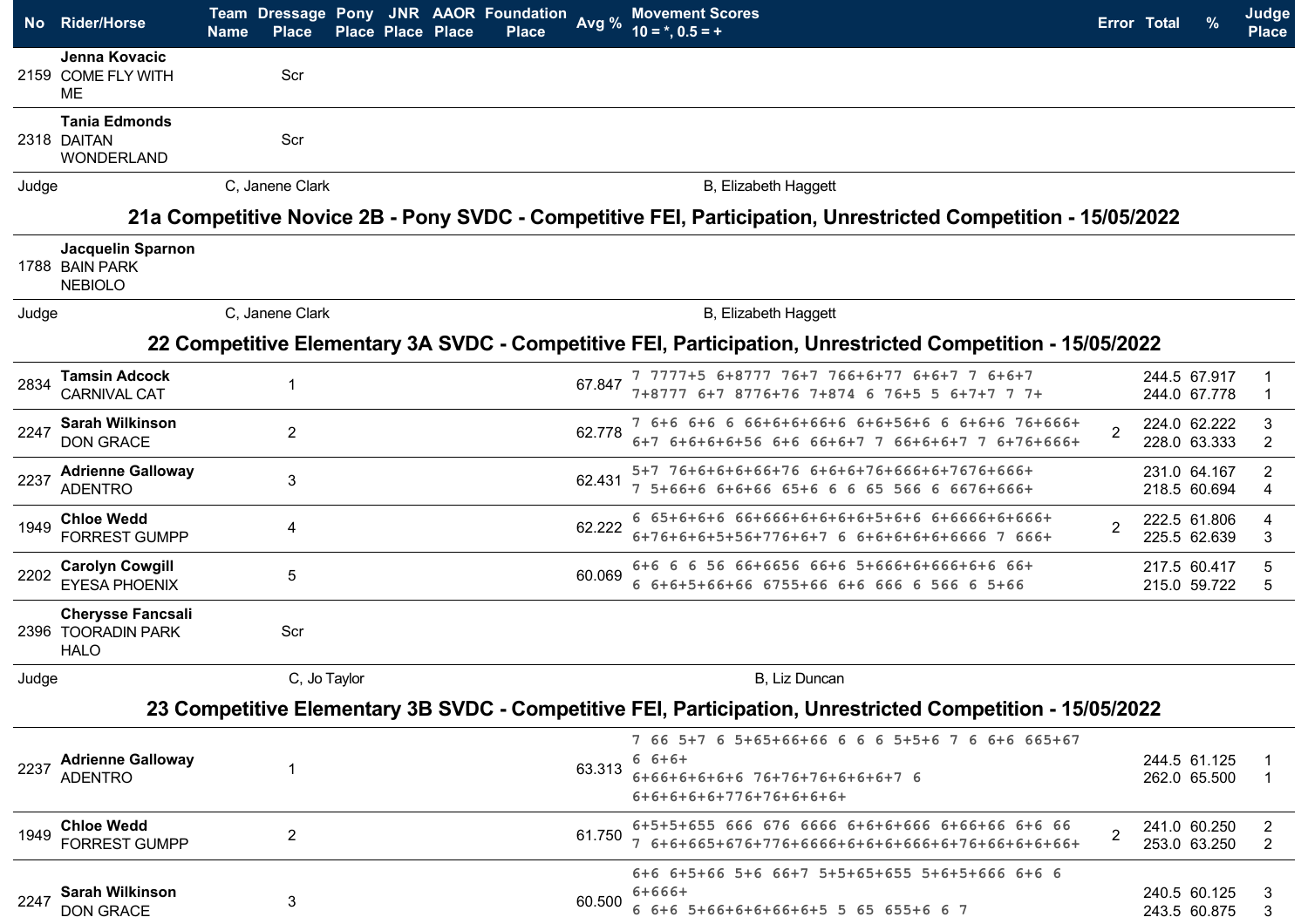|       | No Rider/Horse                                                | Name | <b>Place</b>    |              | <b>Place Place Place</b> | lleam Dressage Pony JNR AAOR Foundation Avg %<br><b>Place</b> |        | <b>Movement Scores</b><br>$10 = *, 0.5 = +$                                                                               |                | <b>Error Total</b> | $\%$                         | Judge<br><b>Place</b>        |
|-------|---------------------------------------------------------------|------|-----------------|--------------|--------------------------|---------------------------------------------------------------|--------|---------------------------------------------------------------------------------------------------------------------------|----------------|--------------------|------------------------------|------------------------------|
|       | <b>Jenna Kovacic</b><br>2159 COME FLY WITH<br>ME              |      | Scr             |              |                          |                                                               |        |                                                                                                                           |                |                    |                              |                              |
|       | <b>Tania Edmonds</b><br>2318 DAITAN<br><b>WONDERLAND</b>      |      | Scr             |              |                          |                                                               |        |                                                                                                                           |                |                    |                              |                              |
| Judge |                                                               |      | C, Janene Clark |              |                          |                                                               |        | B, Elizabeth Haggett                                                                                                      |                |                    |                              |                              |
|       |                                                               |      |                 |              |                          |                                                               |        | 21a Competitive Novice 2B - Pony SVDC - Competitive FEI, Participation, Unrestricted Competition - 15/05/2022             |                |                    |                              |                              |
|       | Jacquelin Sparnon<br>1788 BAIN PARK<br><b>NEBIOLO</b>         |      |                 |              |                          |                                                               |        |                                                                                                                           |                |                    |                              |                              |
| Judge |                                                               |      | C. Janene Clark |              |                          |                                                               |        | B, Elizabeth Haggett                                                                                                      |                |                    |                              |                              |
|       |                                                               |      |                 |              |                          |                                                               |        | 22 Competitive Elementary 3A SVDC - Competitive FEI, Participation, Unrestricted Competition - 15/05/2022                 |                |                    |                              |                              |
| 2834  | <b>Tamsin Adcock</b><br><b>CARNIVAL CAT</b>                   |      | 1               |              |                          |                                                               | 67.847 | 7 7777+5 6+8777 76+7 766+6+77 6+6+7 7 6+6+7<br>7+8777 6+7 8776+76 7+874 6 76+5 5 6+7+7 7 7+                               |                |                    | 244.5 67.917<br>244.0 67.778 |                              |
| 2247  | <b>Sarah Wilkinson</b><br><b>DON GRACE</b>                    |      | $\overline{2}$  |              |                          |                                                               | 62.778 | 7 6+6 6+6 6 66+6+6+66+6 6+6+56+6 6 6+6+6 76+666+<br>6+7 6+6+6+6+56 6+6 66+6+7 7 66+6+6+7 7 6+76+666+                      | $\overline{2}$ |                    | 224.0 62.222<br>228.0 63.333 | 3<br>2                       |
| 2237  | <b>Adrienne Galloway</b><br><b>ADENTRO</b>                    |      | 3               |              |                          |                                                               | 62.431 | 5+7 76+6+6+6+66+76 6+6+6+76+666+6+7676+666+<br>7 5+66+6 6+6+66 65+6 6 6 65 566 6 6676+666+                                |                |                    | 231.0 64.167<br>218.5 60.694 | 2<br>4                       |
| 1949  | <b>Chloe Wedd</b><br><b>FORREST GUMPP</b>                     |      | 4               |              |                          |                                                               | 62.222 | 6 65+6+6+6 66+666+6+6+6+6+5+6+6 6+6666+6+666+<br>6+76+6+6+5+56+776+6+7 6 6+6+6+6+6+6666 7 666+                            | $\overline{2}$ |                    | 222.5 61.806<br>225.5 62.639 | 3                            |
| 2202  | <b>Carolyn Cowgill</b><br><b>EYESA PHOENIX</b>                |      | 5               |              |                          |                                                               | 60.069 | 6+6 6 6 56 66+6656 66+6 5+666+6+666+6+6 66+<br>6 6+6+5+66+66 6755+66 6+6 666 6 566 6 5+66                                 |                |                    | 217.5 60.417<br>215.0 59.722 | 5<br>5                       |
|       | <b>Cherysse Fancsali</b><br>2396 TOORADIN PARK<br><b>HALO</b> |      | Scr             |              |                          |                                                               |        |                                                                                                                           |                |                    |                              |                              |
| Judge |                                                               |      |                 | C, Jo Taylor |                          |                                                               |        | B, Liz Duncan                                                                                                             |                |                    |                              |                              |
|       |                                                               |      |                 |              |                          |                                                               |        | 23 Competitive Elementary 3B SVDC - Competitive FEI, Participation, Unrestricted Competition - 15/05/2022                 |                |                    |                              |                              |
| 2237  | <b>Adrienne Galloway</b><br><b>ADENTRO</b>                    |      | 1               |              |                          |                                                               | 63.313 | 7 66 5+7 6 5+65+66+66 6 6 6 5+5+6 7 6 6+6 665+67<br>$66+6+$<br>6+66+6+6+6+6 76+76+76+6+6+6+7 6<br>6+6+6+6+6+776+76+6+6+6+ |                |                    | 244.5 61.125<br>262.0 65.500 |                              |
| 1949  | <b>Chloe Wedd</b><br><b>FORREST GUMPP</b>                     |      | $\overline{2}$  |              |                          |                                                               | 61.750 | 6+5+5+655 666 676 6666 6+6+6+666 6+66+66 6+6 66<br>7 6+6+665+676+776+6666+6+6+6+666+6+76+66+6+6+66+                       |                |                    | 241.0 60.250<br>253.0 63.250 | 2<br>2                       |
| 2247  | <b>Sarah Wilkinson</b><br><b>DON GRACE</b>                    |      | 3               |              |                          |                                                               | 60.500 | 6+6 6+5+66 5+6 66+7 5+5+65+655 5+6+5+666 6+6 6<br>$6+666+$<br>6 6+6 5+66+6+6+66+6+5 5 65 655+6 6 7                        |                |                    | 240.5 60.125<br>243.5 60.875 | 3<br>$\overline{\mathbf{3}}$ |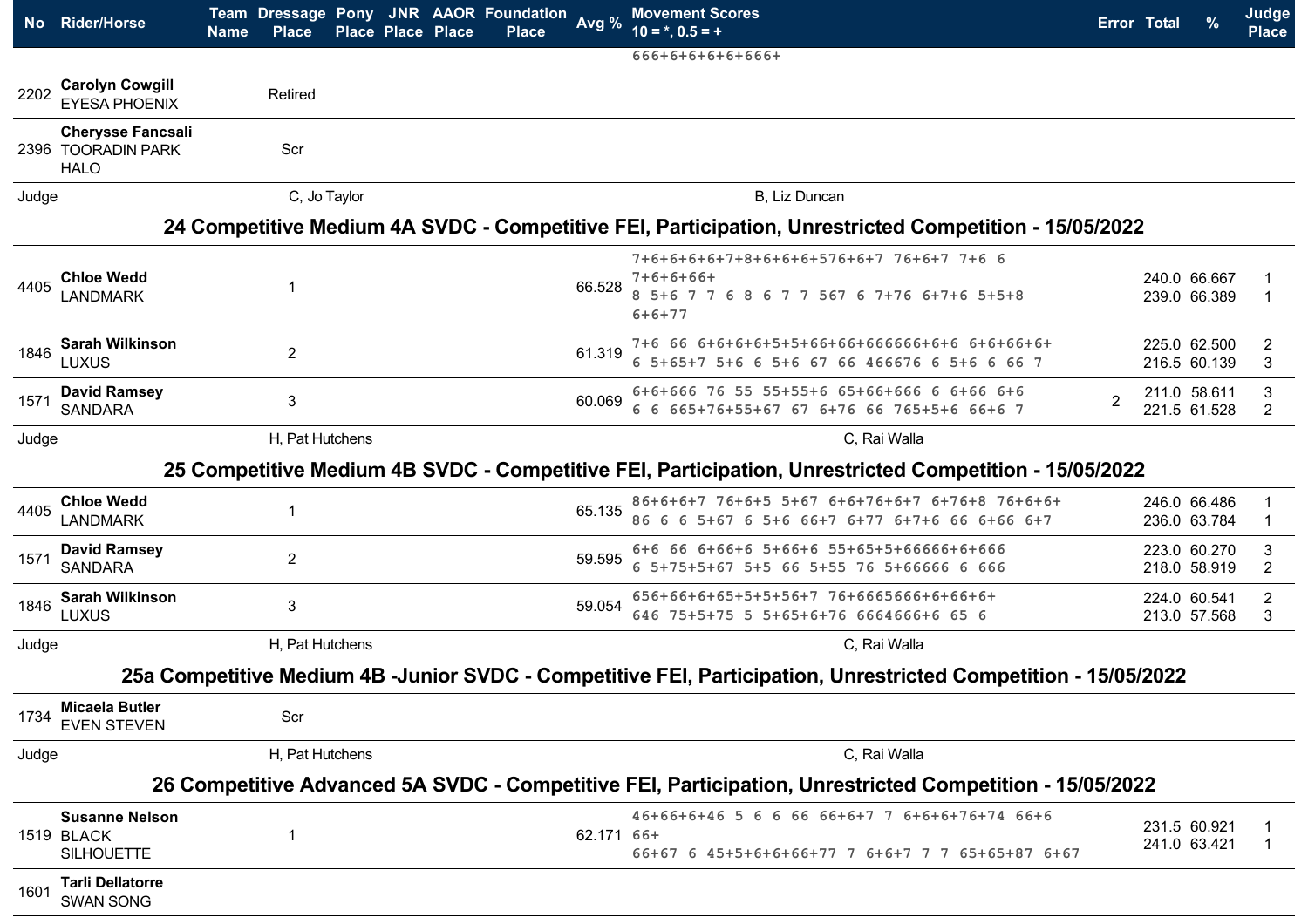|       | No Rider/Horse                                                | <b>Name</b> | <b>Place</b>    |  | <b>Place Place Place</b> | <b>Place</b> |              | <b>Movement Scores</b><br>$10 = *, 0.5 = +$                                                                           |   | <b>Error Total</b> |                              | Judge<br><b>Place</b> |
|-------|---------------------------------------------------------------|-------------|-----------------|--|--------------------------|--------------|--------------|-----------------------------------------------------------------------------------------------------------------------|---|--------------------|------------------------------|-----------------------|
|       |                                                               |             |                 |  |                          |              |              | 666+6+6+6+6+666+                                                                                                      |   |                    |                              |                       |
| 2202  | <b>Carolyn Cowgill</b><br><b>EYESA PHOENIX</b>                |             | Retired         |  |                          |              |              |                                                                                                                       |   |                    |                              |                       |
|       | <b>Cherysse Fancsali</b><br>2396 TOORADIN PARK<br><b>HALO</b> |             | Scr             |  |                          |              |              |                                                                                                                       |   |                    |                              |                       |
| Judge |                                                               |             | C, Jo Taylor    |  |                          |              |              | B, Liz Duncan                                                                                                         |   |                    |                              |                       |
|       |                                                               |             |                 |  |                          |              |              | 24 Competitive Medium 4A SVDC - Competitive FEI, Participation, Unrestricted Competition - 15/05/2022                 |   |                    |                              |                       |
| 4405  | <b>Chloe Wedd</b><br><b>LANDMARK</b>                          |             | 1               |  |                          |              | 66.528       | 7+6+6+6+6+7+8+6+6+6+576+6+7 76+6+7 7+6 6<br>$7+6+6+66+$<br>8 5+6 7 7 6 8 6 7 7 567 6 7+76 6+7+6 5+5+8<br>$6 + 6 + 77$ |   |                    | 240.0 66.667<br>239.0 66.389 |                       |
| 1846  | <b>Sarah Wilkinson</b><br><b>LUXUS</b>                        |             | $\overline{2}$  |  |                          |              | 61.319       | 7+6 66 6+6+6+6+5+5+66+66+666666+6+6 6+6+66+6+<br>6 5+65+7 5+6 6 5+6 67 66 466676 6 5+6 6 66 7                         |   |                    | 225.0 62.500<br>216.5 60.139 | 2<br>3                |
| 1571  | <b>David Ramsey</b><br><b>SANDARA</b>                         |             | 3               |  |                          |              | 60.069       | 6 6 665+76+55+67 67 6+76 66 765+5+6 66+6 7                                                                            | 2 |                    | 211.0 58.611<br>221.5 61.528 | 3<br>$\overline{2}$   |
| Judge |                                                               |             | H, Pat Hutchens |  |                          |              |              | C, Rai Walla                                                                                                          |   |                    |                              |                       |
|       |                                                               |             |                 |  |                          |              |              | 25 Competitive Medium 4B SVDC - Competitive FEI, Participation, Unrestricted Competition - 15/05/2022                 |   |                    |                              |                       |
| 4405  | <b>Chloe Wedd</b><br><b>LANDMARK</b>                          |             | 1               |  |                          |              | 65.135       | 86+6+6+7 76+6+5 5+67 6+6+76+6+7 6+76+8 76+6+6+                                                                        |   |                    | 246.0 66.486<br>236.0 63.784 |                       |
| 1571  | <b>David Ramsey</b><br><b>SANDARA</b>                         |             | $\overline{2}$  |  |                          |              | 59.595       | 6+6 66 6+66+6 5+66+6 55+65+5+66666+6+666<br>6 5+75+5+67 5+5 66 5+55 76 5+66666 6 666                                  |   |                    | 223.0 60.270<br>218.0 58.919 | 3<br>$\overline{2}$   |
| 1846  | <b>Sarah Wilkinson</b><br><b>LUXUS</b>                        |             | 3               |  |                          |              | 59.054       | 656+66+6+65+5+5+56+7 76+6665666+6+66+6+<br>646 75+5+75 5 5+65+6+76 6664666+6 65 6                                     |   |                    | 224.0 60.541<br>213.0 57.568 | 2<br>3                |
| Judge |                                                               |             | H, Pat Hutchens |  |                          |              |              | C, Rai Walla                                                                                                          |   |                    |                              |                       |
|       |                                                               |             |                 |  |                          |              |              | 25a Competitive Medium 4B -Junior SVDC - Competitive FEI, Participation, Unrestricted Competition - 15/05/2022        |   |                    |                              |                       |
| 1734  | <b>Micaela Butler</b><br><b>EVEN STEVEN</b>                   |             | Scr             |  |                          |              |              |                                                                                                                       |   |                    |                              |                       |
| Judge |                                                               |             | H, Pat Hutchens |  |                          |              |              | C, Rai Walla                                                                                                          |   |                    |                              |                       |
|       |                                                               |             |                 |  |                          |              |              | 26 Competitive Advanced 5A SVDC - Competitive FEI, Participation, Unrestricted Competition - 15/05/2022               |   |                    |                              |                       |
|       | <b>Susanne Nelson</b><br>1519 BLACK<br><b>SILHOUETTE</b>      |             | 1               |  |                          |              | $62.171$ 66+ | 46+66+6+46 5 6 6 66 66+6+7 7 6+6+6+76+74 66+6<br>66+67 6 45+5+6+6+66+77 7 6+6+7 7 7 65+65+87 6+67                     |   |                    | 231.5 60.921<br>241.0 63.421 |                       |
| 1601  | <b>Tarli Dellatorre</b><br><b>SWAN SONG</b>                   |             |                 |  |                          |              |              |                                                                                                                       |   |                    |                              |                       |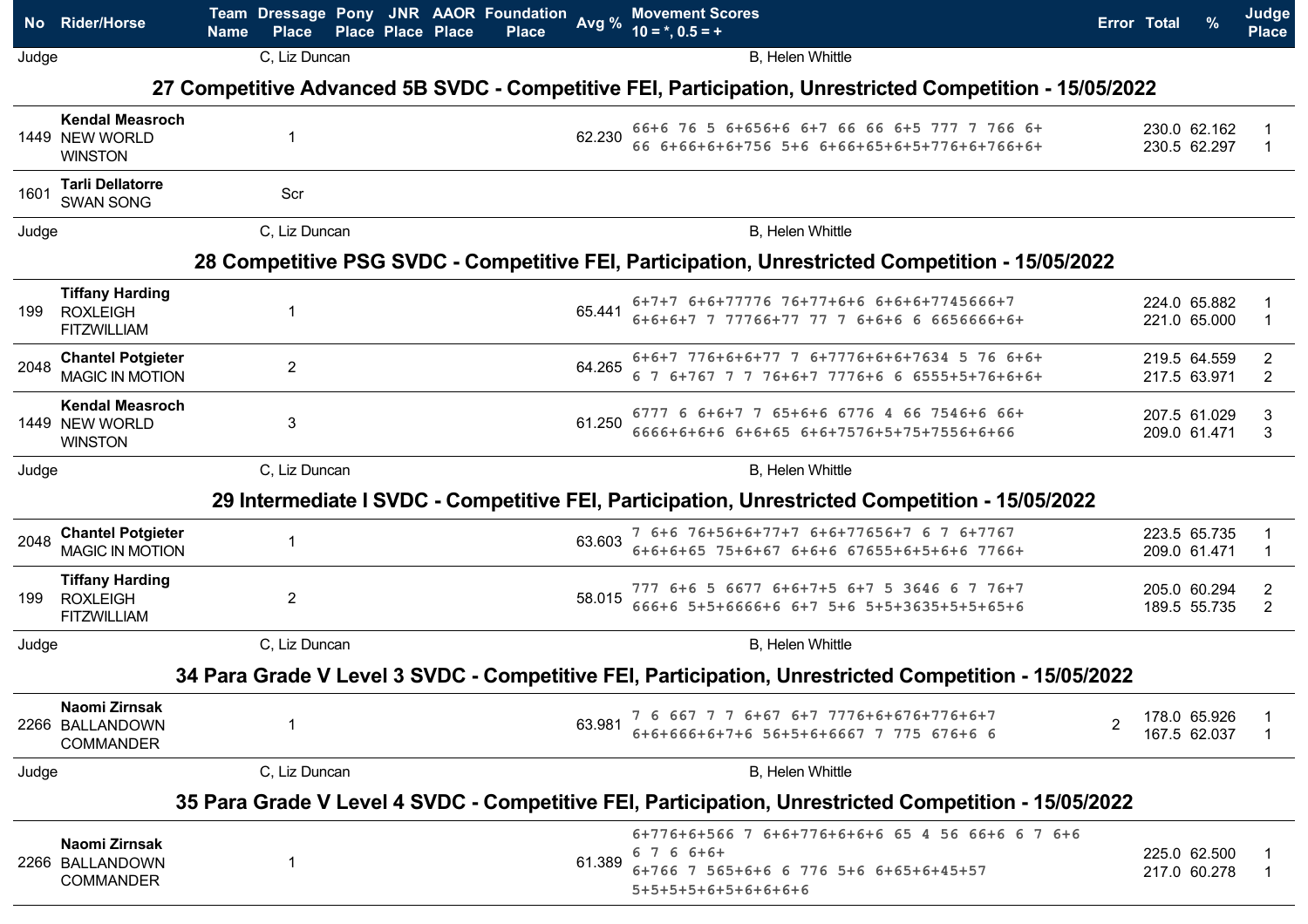|       | No Rider/Horse                                                  | <b>Place</b><br>Name | Place Place Place | Place |        | Team Dressage Pony JNR AAOR Foundation $\frac{1}{4}$ Avg $\frac{9}{40}$ Movement Scores<br>$10 = *, 0.5 = +$                   | <b>Error Total</b> |                              | Judge<br><b>Place</b> |
|-------|-----------------------------------------------------------------|----------------------|-------------------|-------|--------|--------------------------------------------------------------------------------------------------------------------------------|--------------------|------------------------------|-----------------------|
| Judge |                                                                 | C, Liz Duncan        |                   |       |        | <b>B.</b> Helen Whittle                                                                                                        |                    |                              |                       |
|       |                                                                 |                      |                   |       |        | 27 Competitive Advanced 5B SVDC - Competitive FEI, Participation, Unrestricted Competition - 15/05/2022                        |                    |                              |                       |
|       | <b>Kendal Measroch</b><br>1449 NEW WORLD<br><b>WINSTON</b>      | 1                    |                   |       | 62.230 | 66+6 76 5 6+656+6 6+7 66 66 6+5 777 7 766 6+<br>66 6+66+6+6+756 5+6 6+66+65+6+5+776+6+766+6+                                   |                    | 230.0 62.162<br>230.5 62.297 |                       |
| 1601  | <b>Tarli Dellatorre</b><br><b>SWAN SONG</b>                     | Scr                  |                   |       |        |                                                                                                                                |                    |                              |                       |
| Judge |                                                                 | C, Liz Duncan        |                   |       |        | B, Helen Whittle                                                                                                               |                    |                              |                       |
|       |                                                                 |                      |                   |       |        | 28 Competitive PSG SVDC - Competitive FEI, Participation, Unrestricted Competition - 15/05/2022                                |                    |                              |                       |
| 199   | <b>Tiffany Harding</b><br><b>ROXLEIGH</b><br><b>FITZWILLIAM</b> | 1                    |                   |       | 65.441 | 6+7+7 6+6+77776 76+77+6+6 6+6+6+7745666+7<br>6+6+6+7 7 77766+77 77 7 6+6+6 6 6656666+6+                                        |                    | 224.0 65.882<br>221.0 65.000 |                       |
| 2048  | <b>Chantel Potgieter</b><br><b>MAGIC IN MOTION</b>              | $\overline{2}$       |                   |       | 64.265 | 6+6+7 776+6+6+77 7 6+7776+6+6+7634 5 76 6+6+<br>6 7 6+767 7 7 76+6+7 7776+6 6 6555+5+76+6+6+                                   |                    | 219.5 64.559<br>217.5 63.971 | 2<br>$\overline{2}$   |
|       | <b>Kendal Measroch</b><br>1449 NEW WORLD<br><b>WINSTON</b>      | 3                    |                   |       | 61.250 | 6777 6 6+6+7 7 65+6+6 6776 4 66 7546+6 66+<br>6666+6+6+6 6+6+65 6+6+7576+5+75+7556+6+66                                        |                    | 207.5 61.029<br>209.0 61.471 | 3                     |
| Judge |                                                                 | C, Liz Duncan        |                   |       |        | <b>B.</b> Helen Whittle                                                                                                        |                    |                              |                       |
|       |                                                                 |                      |                   |       |        | 29 Intermediate I SVDC - Competitive FEI, Participation, Unrestricted Competition - 15/05/2022                                 |                    |                              |                       |
| 2048  | <b>Chantel Potgieter</b><br><b>MAGIC IN MOTION</b>              | 1                    |                   |       | 63.603 | 7 6+6 76+56+6+77+7 6+6+77656+7 6 7 6+7767<br>6+6+6+65 75+6+67 6+6+6 67655+6+5+6+6 7766+                                        |                    | 223.5 65.735<br>209.0 61.471 |                       |
| 199   | <b>Tiffany Harding</b><br><b>ROXLEIGH</b><br><b>FITZWILLIAM</b> | $\overline{c}$       |                   |       | 58.015 | 777 6+6 5 6677 6+6+7+5 6+7 5 3646 6 7 76+7<br>666+6 5+5+6666+6 6+7 5+6 5+5+3635+5+5+65+6                                       |                    | 205.0 60.294<br>189.5 55.735 | 2<br>$\overline{2}$   |
| Judge |                                                                 | C, Liz Duncan        |                   |       |        | B, Helen Whittle                                                                                                               |                    |                              |                       |
|       |                                                                 |                      |                   |       |        | 34 Para Grade V Level 3 SVDC - Competitive FEI, Participation, Unrestricted Competition - 15/05/2022                           |                    |                              |                       |
|       | Naomi Zirnsak<br>2266 BALLANDOWN<br><b>COMMANDER</b>            | 1                    |                   |       | 63.981 | 7 6 667 7 7 6+67 6+7 7776+6+676+776+6+7<br>6+6+666+6+7+6 56+5+6+6667 7 775 676+6 6                                             | $\mathcal{P}$      | 178.0 65.926<br>167.5 62.037 |                       |
| Judge |                                                                 | C, Liz Duncan        |                   |       |        | <b>B.</b> Helen Whittle                                                                                                        |                    |                              |                       |
|       |                                                                 |                      |                   |       |        | 35 Para Grade V Level 4 SVDC - Competitive FEI, Participation, Unrestricted Competition - 15/05/2022                           |                    |                              |                       |
|       | Naomi Zirnsak<br>2266 BALLANDOWN<br><b>COMMANDER</b>            | 1                    |                   |       | 61.389 | 6+776+6+566 7 6+6+776+6+6+6 65 4 56 66+6 6 7 6+6<br>$6766+6+$<br>6+766 7 565+6+6 6 776 5+6 6+65+6+45+57<br>5+5+5+5+6+5+6+6+6+6 |                    | 225.0 62.500<br>217.0 60.278 |                       |